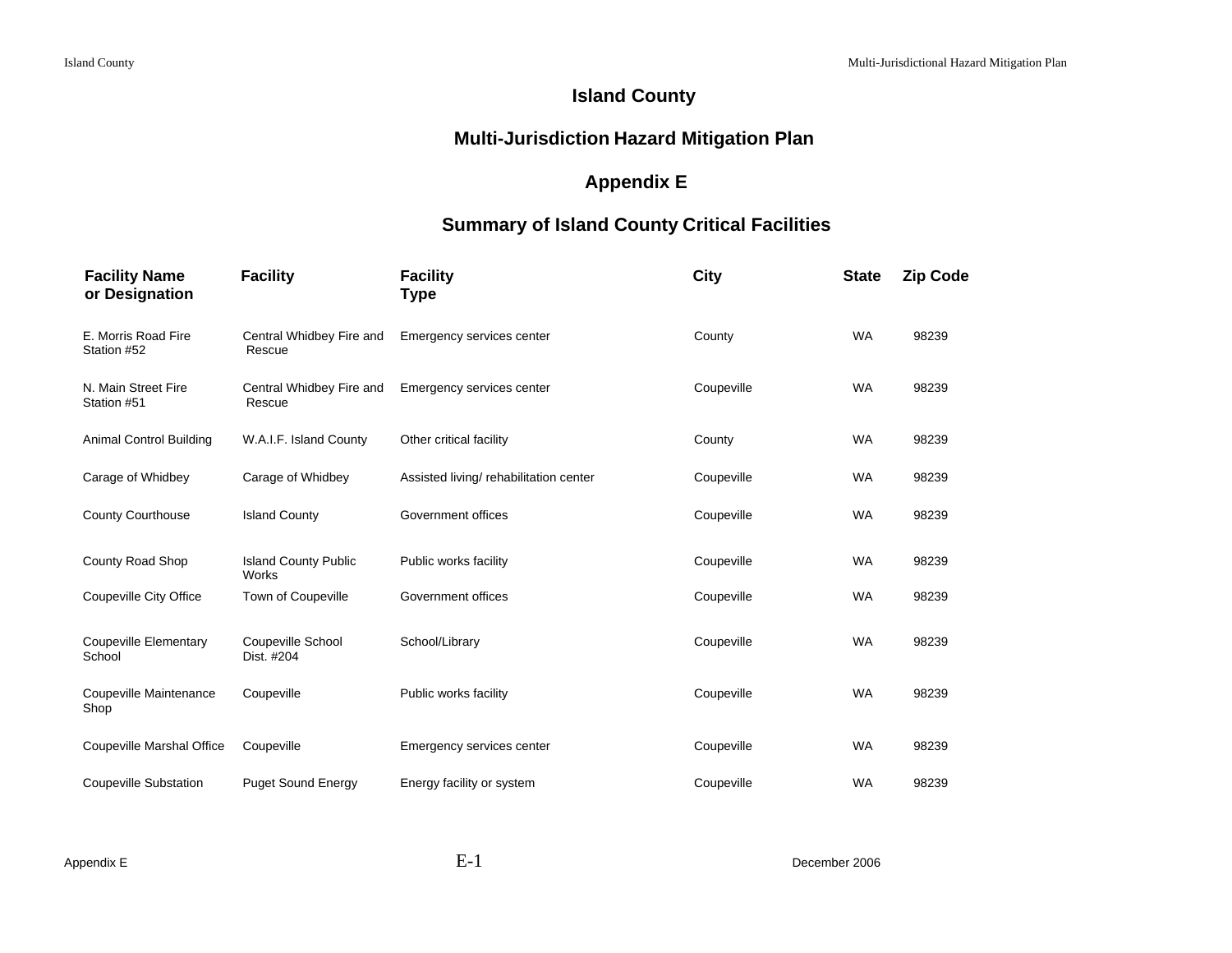## **Island County**

## **Multi-Jurisdiction Hazard Mitigation Plan**

## **Appendix E**

## **Summary of Island County Critical Facilities**

| <b>Facility Name</b><br>or Designation | <b>Facility</b>                      | <b>Facility</b><br>Type               | City       | <b>State</b> | <b>Zip Code</b> |
|----------------------------------------|--------------------------------------|---------------------------------------|------------|--------------|-----------------|
| E. Morris Road Fire<br>Station #52     | Central Whidbey Fire and<br>Rescue   | Emergency services center             | County     | <b>WA</b>    | 98239           |
| N. Main Street Fire<br>Station #51     | Central Whidbey Fire and<br>Rescue   | Emergency services center             | Coupeville | <b>WA</b>    | 98239           |
| Animal Control Building                | W.A.I.F. Island County               | Other critical facility               | County     | <b>WA</b>    | 98239           |
| Carage of Whidbey                      | Carage of Whidbey                    | Assisted living/rehabilitation center | Coupeville | <b>WA</b>    | 98239           |
| <b>County Courthouse</b>               | <b>Island County</b>                 | Government offices                    | Coupeville | <b>WA</b>    | 98239           |
| County Road Shop                       | <b>Island County Public</b><br>Works | Public works facility                 | Coupeville | <b>WA</b>    | 98239           |
| Coupeville City Office                 | <b>Town of Coupeville</b>            | Government offices                    | Coupeville | <b>WA</b>    | 98239           |
| <b>Coupeville Elementary</b><br>School | Coupeville School<br>Dist. #204      | School/Library                        | Coupeville | <b>WA</b>    | 98239           |
| Coupeville Maintenance<br>Shop         | Coupeville                           | Public works facility                 | Coupeville | <b>WA</b>    | 98239           |
| Coupeville Marshal Office              | Coupeville                           | Emergency services center             | Coupeville | <b>WA</b>    | 98239           |
| <b>Coupeville Substation</b>           | <b>Puget Sound Energy</b>            | Energy facility or system             | Coupeville | <b>WA</b>    | 98239           |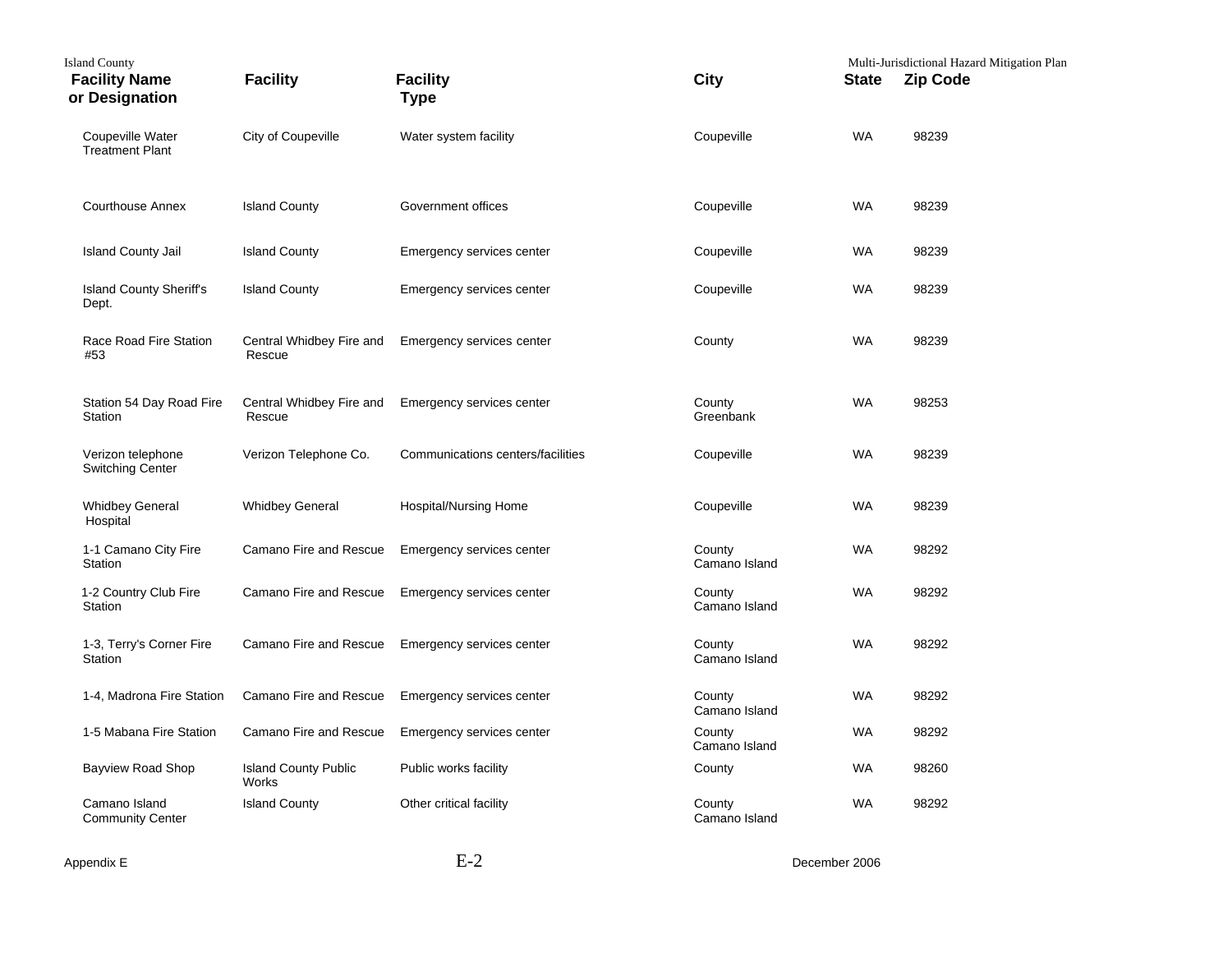| <b>Island County</b><br><b>Facility Name</b><br>or Designation | <b>Facility</b>                      | <b>Facility</b><br><b>Type</b>    | City                    | <b>State</b> | Multi-Jurisdictional Hazard Mitigation Plan<br><b>Zip Code</b> |
|----------------------------------------------------------------|--------------------------------------|-----------------------------------|-------------------------|--------------|----------------------------------------------------------------|
| <b>Coupeville Water</b><br><b>Treatment Plant</b>              | City of Coupeville                   | Water system facility             | Coupeville              | WA           | 98239                                                          |
| <b>Courthouse Annex</b>                                        | <b>Island County</b>                 | Government offices                | Coupeville              | <b>WA</b>    | 98239                                                          |
| <b>Island County Jail</b>                                      | <b>Island County</b>                 | Emergency services center         | Coupeville              | WA           | 98239                                                          |
| <b>Island County Sheriff's</b><br>Dept.                        | <b>Island County</b>                 | Emergency services center         | Coupeville              | WA           | 98239                                                          |
| Race Road Fire Station<br>#53                                  | Central Whidbey Fire and<br>Rescue   | Emergency services center         | County                  | <b>WA</b>    | 98239                                                          |
| Station 54 Day Road Fire<br>Station                            | Central Whidbey Fire and<br>Rescue   | Emergency services center         | County<br>Greenbank     | <b>WA</b>    | 98253                                                          |
| Verizon telephone<br><b>Switching Center</b>                   | Verizon Telephone Co.                | Communications centers/facilities | Coupeville              | WA           | 98239                                                          |
| <b>Whidbey General</b><br>Hospital                             | <b>Whidbey General</b>               | Hospital/Nursing Home             | Coupeville              | <b>WA</b>    | 98239                                                          |
| 1-1 Camano City Fire<br>Station                                | Camano Fire and Rescue               | Emergency services center         | County<br>Camano Island | <b>WA</b>    | 98292                                                          |
| 1-2 Country Club Fire<br>Station                               | Camano Fire and Rescue               | Emergency services center         | County<br>Camano Island | <b>WA</b>    | 98292                                                          |
| 1-3, Terry's Corner Fire<br>Station                            | Camano Fire and Rescue               | Emergency services center         | County<br>Camano Island | <b>WA</b>    | 98292                                                          |
| 1-4, Madrona Fire Station                                      | Camano Fire and Rescue               | Emergency services center         | County<br>Camano Island | <b>WA</b>    | 98292                                                          |
| 1-5 Mabana Fire Station                                        | Camano Fire and Rescue               | Emergency services center         | County<br>Camano Island | <b>WA</b>    | 98292                                                          |
| Bayview Road Shop                                              | <b>Island County Public</b><br>Works | Public works facility             | County                  | <b>WA</b>    | 98260                                                          |
| Camano Island<br><b>Community Center</b>                       | <b>Island County</b>                 | Other critical facility           | County<br>Camano Island | <b>WA</b>    | 98292                                                          |

Appendix E December 2006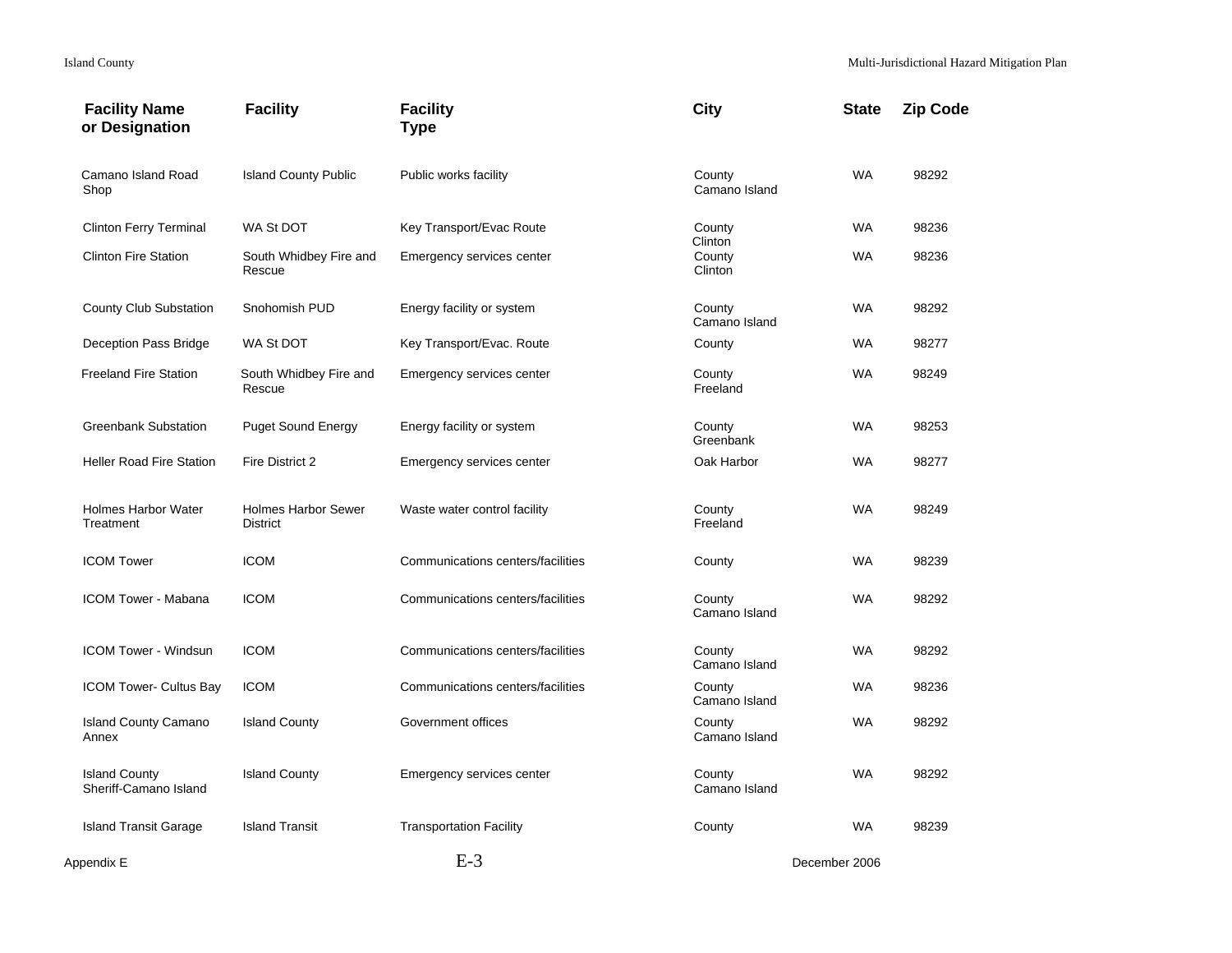| <b>Facility Name</b><br>or Designation        | <b>Facility</b>                               | <b>Facility</b><br><b>Type</b>    | <b>City</b>                  | <b>State</b>  | <b>Zip Code</b> |
|-----------------------------------------------|-----------------------------------------------|-----------------------------------|------------------------------|---------------|-----------------|
| Camano Island Road<br>Shop                    | <b>Island County Public</b>                   | Public works facility             | County<br>Camano Island      | <b>WA</b>     | 98292           |
| <b>Clinton Ferry Terminal</b>                 | WA St DOT                                     | Key Transport/Evac Route          | County                       | <b>WA</b>     | 98236           |
| <b>Clinton Fire Station</b>                   | South Whidbey Fire and<br>Rescue              | Emergency services center         | Clinton<br>County<br>Clinton | <b>WA</b>     | 98236           |
| County Club Substation                        | Snohomish PUD                                 | Energy facility or system         | County<br>Camano Island      | <b>WA</b>     | 98292           |
| Deception Pass Bridge                         | WA St DOT                                     | Key Transport/Evac. Route         | County                       | WA            | 98277           |
| <b>Freeland Fire Station</b>                  | South Whidbey Fire and<br>Rescue              | Emergency services center         | County<br>Freeland           | <b>WA</b>     | 98249           |
| <b>Greenbank Substation</b>                   | <b>Puget Sound Energy</b>                     | Energy facility or system         | County<br>Greenbank          | <b>WA</b>     | 98253           |
| <b>Heller Road Fire Station</b>               | Fire District 2                               | Emergency services center         | Oak Harbor                   | <b>WA</b>     | 98277           |
| <b>Holmes Harbor Water</b><br>Treatment       | <b>Holmes Harbor Sewer</b><br><b>District</b> | Waste water control facility      | County<br>Freeland           | <b>WA</b>     | 98249           |
| <b>ICOM Tower</b>                             | <b>ICOM</b>                                   | Communications centers/facilities | County                       | WA            | 98239           |
| <b>ICOM Tower - Mabana</b>                    | <b>ICOM</b>                                   | Communications centers/facilities | County<br>Camano Island      | <b>WA</b>     | 98292           |
| <b>ICOM Tower - Windsun</b>                   | <b>ICOM</b>                                   | Communications centers/facilities | County<br>Camano Island      | <b>WA</b>     | 98292           |
| <b>ICOM Tower- Cultus Bay</b>                 | <b>ICOM</b>                                   | Communications centers/facilities | County<br>Camano Island      | WA            | 98236           |
| <b>Island County Camano</b><br>Annex          | <b>Island County</b>                          | Government offices                | County<br>Camano Island      | <b>WA</b>     | 98292           |
| <b>Island County</b><br>Sheriff-Camano Island | <b>Island County</b>                          | Emergency services center         | County<br>Camano Island      | <b>WA</b>     | 98292           |
| <b>Island Transit Garage</b>                  | <b>Island Transit</b>                         | <b>Transportation Facility</b>    | County                       | <b>WA</b>     | 98239           |
| Appendix E                                    |                                               | $E-3$                             |                              | December 2006 |                 |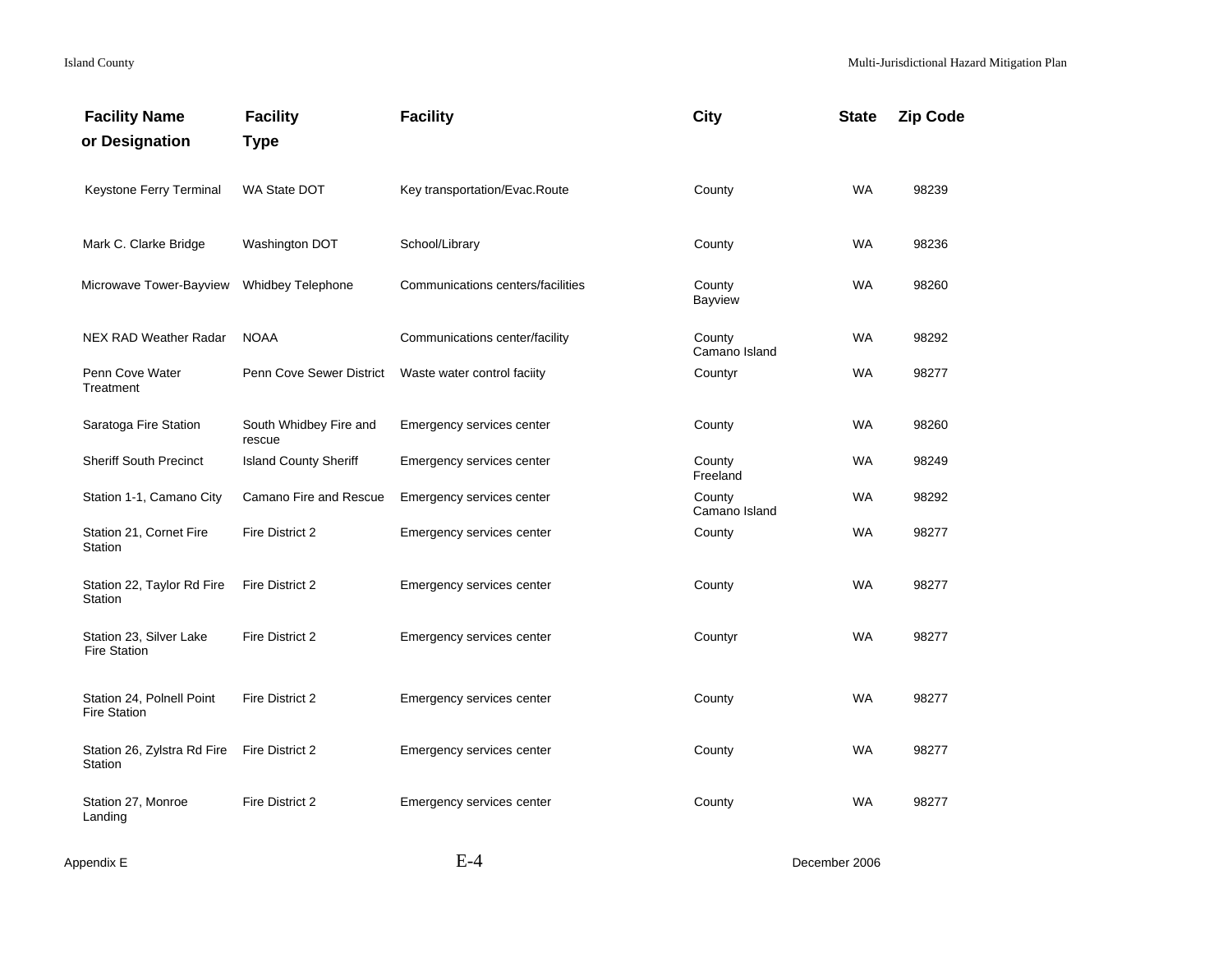| <b>Facility Name</b><br>or Designation           | <b>Facility</b><br><b>Type</b>   | <b>Facility</b>                   | City                    | <b>State</b> | <b>Zip Code</b> |
|--------------------------------------------------|----------------------------------|-----------------------------------|-------------------------|--------------|-----------------|
| Keystone Ferry Terminal                          | <b>WA State DOT</b>              | Key transportation/Evac.Route     | County                  | <b>WA</b>    | 98239           |
| Mark C. Clarke Bridge                            | Washington DOT                   | School/Library                    | County                  | <b>WA</b>    | 98236           |
| Microwave Tower-Bayview                          | Whidbey Telephone                | Communications centers/facilities | County<br>Bayview       | <b>WA</b>    | 98260           |
| <b>NEX RAD Weather Radar</b>                     | <b>NOAA</b>                      | Communications center/facility    | County<br>Camano Island | <b>WA</b>    | 98292           |
| Penn Cove Water<br>Treatment                     | Penn Cove Sewer District         | Waste water control faciity       | Countyr                 | WA           | 98277           |
| Saratoga Fire Station                            | South Whidbey Fire and<br>rescue | Emergency services center         | County                  | <b>WA</b>    | 98260           |
| <b>Sheriff South Precinct</b>                    | <b>Island County Sheriff</b>     | Emergency services center         | County<br>Freeland      | WA           | 98249           |
| Station 1-1, Camano City                         | Camano Fire and Rescue           | Emergency services center         | County<br>Camano Island | <b>WA</b>    | 98292           |
| Station 21, Cornet Fire<br>Station               | Fire District 2                  | Emergency services center         | County                  | <b>WA</b>    | 98277           |
| Station 22, Taylor Rd Fire<br>Station            | Fire District 2                  | Emergency services center         | County                  | <b>WA</b>    | 98277           |
| Station 23, Silver Lake<br><b>Fire Station</b>   | Fire District 2                  | Emergency services center         | Countyr                 | <b>WA</b>    | 98277           |
| Station 24, Polnell Point<br><b>Fire Station</b> | Fire District 2                  | Emergency services center         | County                  | <b>WA</b>    | 98277           |
| Station 26, Zylstra Rd Fire<br>Station           | Fire District 2                  | Emergency services center         | County                  | <b>WA</b>    | 98277           |
| Station 27, Monroe<br>Landing                    | Fire District 2                  | Emergency services center         | County                  | WA           | 98277           |
|                                                  |                                  |                                   |                         |              |                 |

Appendix E December 2006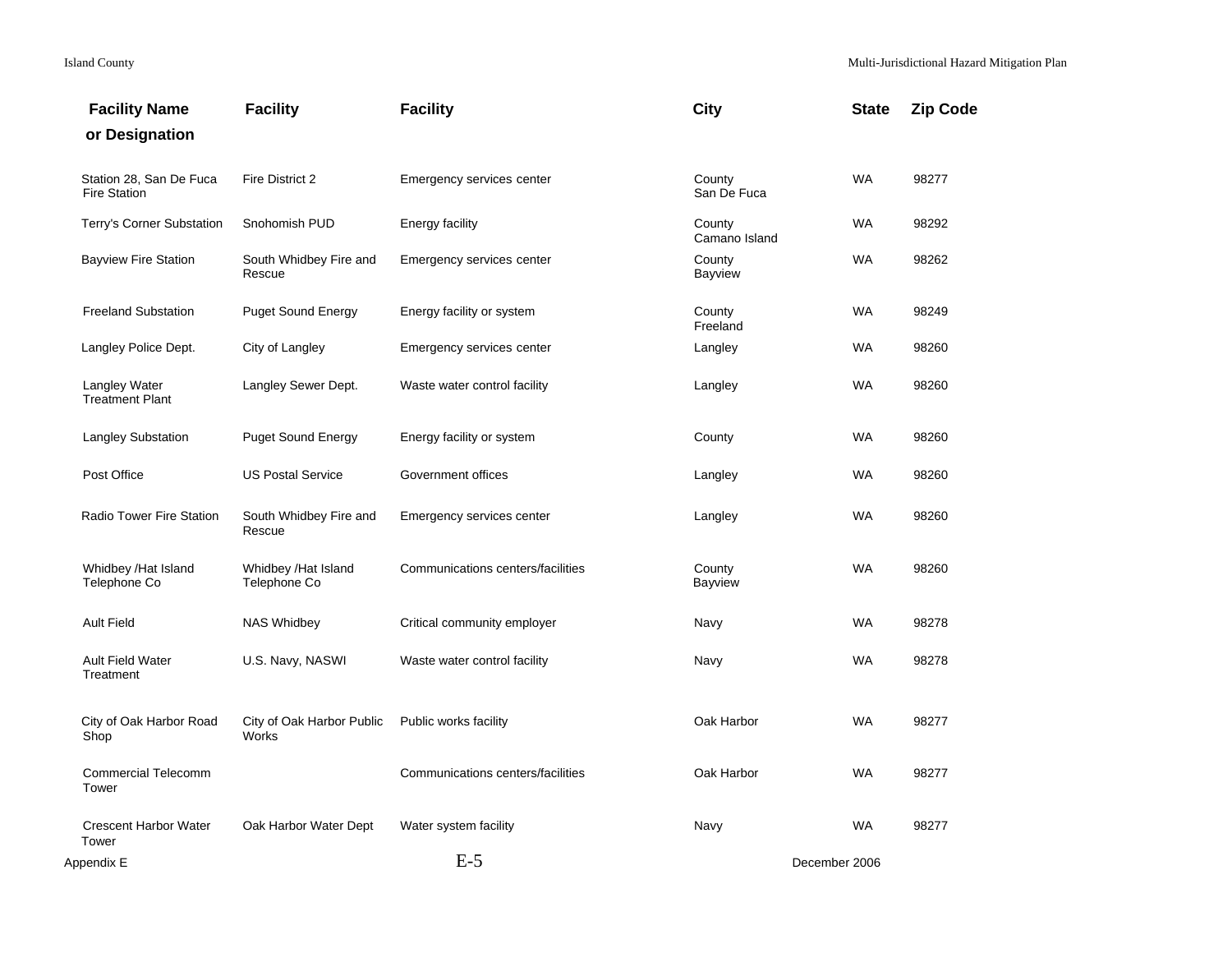| <b>Facility Name</b>                           | <b>Facility</b>                     | <b>Facility</b>                   | City                     | <b>State</b> | <b>Zip Code</b> |
|------------------------------------------------|-------------------------------------|-----------------------------------|--------------------------|--------------|-----------------|
| or Designation                                 |                                     |                                   |                          |              |                 |
| Station 28, San De Fuca<br><b>Fire Station</b> | Fire District 2                     | Emergency services center         | County<br>San De Fuca    | <b>WA</b>    | 98277           |
| Terry's Corner Substation                      | Snohomish PUD                       | <b>Energy facility</b>            | County<br>Camano Island  | WA           | 98292           |
| <b>Bayview Fire Station</b>                    | South Whidbey Fire and<br>Rescue    | Emergency services center         | County<br><b>Bayview</b> | <b>WA</b>    | 98262           |
| <b>Freeland Substation</b>                     | <b>Puget Sound Energy</b>           | Energy facility or system         | County<br>Freeland       | WA           | 98249           |
| Langley Police Dept.                           | City of Langley                     | Emergency services center         | Langley                  | <b>WA</b>    | 98260           |
| Langley Water<br><b>Treatment Plant</b>        | Langley Sewer Dept.                 | Waste water control facility      | Langley                  | <b>WA</b>    | 98260           |
| <b>Langley Substation</b>                      | <b>Puget Sound Energy</b>           | Energy facility or system         | County                   | <b>WA</b>    | 98260           |
| Post Office                                    | <b>US Postal Service</b>            | Government offices                | Langley                  | <b>WA</b>    | 98260           |
| <b>Radio Tower Fire Station</b>                | South Whidbey Fire and<br>Rescue    | Emergency services center         | Langley                  | <b>WA</b>    | 98260           |
| Whidbey /Hat Island<br>Telephone Co            | Whidbey /Hat Island<br>Telephone Co | Communications centers/facilities | County<br><b>Bayview</b> | WA           | 98260           |
| <b>Ault Field</b>                              | <b>NAS Whidbey</b>                  | Critical community employer       | Navy                     | <b>WA</b>    | 98278           |
| <b>Ault Field Water</b><br>Treatment           | U.S. Navy, NASWI                    | Waste water control facility      | Navy                     | <b>WA</b>    | 98278           |
| City of Oak Harbor Road<br>Shop                | City of Oak Harbor Public<br>Works  | Public works facility             | Oak Harbor               | <b>WA</b>    | 98277           |
| <b>Commercial Telecomm</b><br>Tower            |                                     | Communications centers/facilities | Oak Harbor               | <b>WA</b>    | 98277           |
| <b>Crescent Harbor Water</b><br>Tower          | Oak Harbor Water Dept               | Water system facility             | Navy                     | <b>WA</b>    | 98277           |
| Appendix E                                     |                                     | $E-5$                             | December 2006            |              |                 |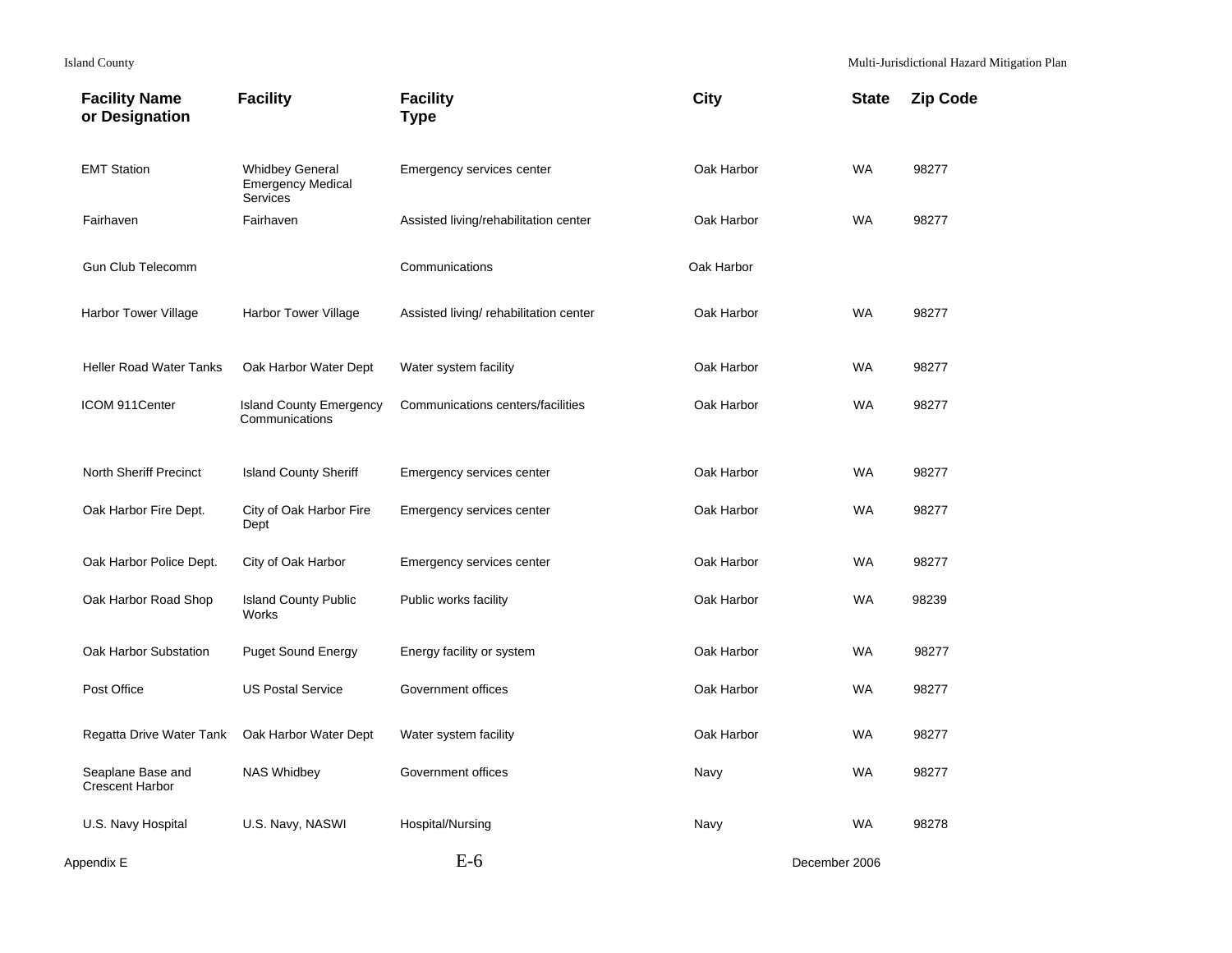| <b>Facility Name</b><br>or Designation      | <b>Facility</b>                                                       | <b>Facility</b><br><b>Type</b>         | <b>City</b> | <b>State</b>  | <b>Zip Code</b> |
|---------------------------------------------|-----------------------------------------------------------------------|----------------------------------------|-------------|---------------|-----------------|
| <b>EMT Station</b>                          | <b>Whidbey General</b><br><b>Emergency Medical</b><br><b>Services</b> | Emergency services center              | Oak Harbor  | <b>WA</b>     | 98277           |
| Fairhaven                                   | Fairhaven                                                             | Assisted living/rehabilitation center  | Oak Harbor  | <b>WA</b>     | 98277           |
| <b>Gun Club Telecomm</b>                    |                                                                       | Communications                         | Oak Harbor  |               |                 |
| <b>Harbor Tower Village</b>                 | <b>Harbor Tower Village</b>                                           | Assisted living/ rehabilitation center | Oak Harbor  | <b>WA</b>     | 98277           |
| <b>Heller Road Water Tanks</b>              | Oak Harbor Water Dept                                                 | Water system facility                  | Oak Harbor  | <b>WA</b>     | 98277           |
| ICOM 911Center                              | <b>Island County Emergency</b><br>Communications                      | Communications centers/facilities      | Oak Harbor  | WA            | 98277           |
| North Sheriff Precinct                      | <b>Island County Sheriff</b>                                          | Emergency services center              | Oak Harbor  | <b>WA</b>     | 98277           |
| Oak Harbor Fire Dept.                       | City of Oak Harbor Fire<br>Dept                                       | Emergency services center              | Oak Harbor  | <b>WA</b>     | 98277           |
| Oak Harbor Police Dept.                     | City of Oak Harbor                                                    | Emergency services center              | Oak Harbor  | <b>WA</b>     | 98277           |
| Oak Harbor Road Shop                        | <b>Island County Public</b><br>Works                                  | Public works facility                  | Oak Harbor  | <b>WA</b>     | 98239           |
| Oak Harbor Substation                       | <b>Puget Sound Energy</b>                                             | Energy facility or system              | Oak Harbor  | <b>WA</b>     | 98277           |
| Post Office                                 | <b>US Postal Service</b>                                              | Government offices                     | Oak Harbor  | <b>WA</b>     | 98277           |
| Regatta Drive Water Tank                    | Oak Harbor Water Dept                                                 | Water system facility                  | Oak Harbor  | <b>WA</b>     | 98277           |
| Seaplane Base and<br><b>Crescent Harbor</b> | <b>NAS Whidbey</b>                                                    | Government offices                     | Navy        | WA            | 98277           |
| U.S. Navy Hospital                          | U.S. Navy, NASWI                                                      | Hospital/Nursing                       | Navy        | <b>WA</b>     | 98278           |
| Appendix E                                  |                                                                       | $E-6$                                  |             | December 2006 |                 |